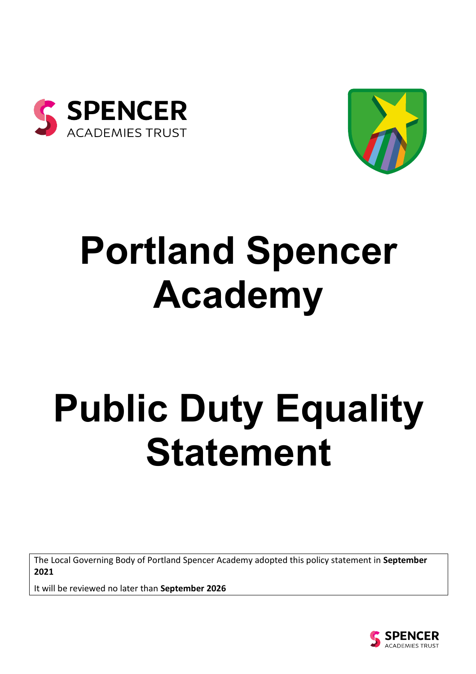



# **Portland Spencer Academy**

# **Public Duty Equality Statement**

The Local Governing Body of Portland Spencer Academy adopted this policy statement in **September 2021**

It will be reviewed no later than **September 2026**

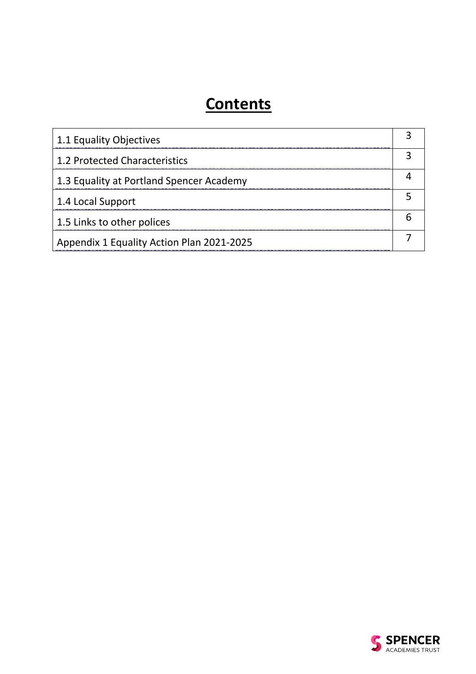# **Contents**

| 1.1 Equality Objectives                   |  |
|-------------------------------------------|--|
| 1.2 Protected Characteristics             |  |
| 1.3 Equality at Portland Spencer Academy  |  |
| 1.4 Local Support                         |  |
| 1.5 Links to other polices                |  |
| Appendix 1 Equality Action Plan 2021-2025 |  |

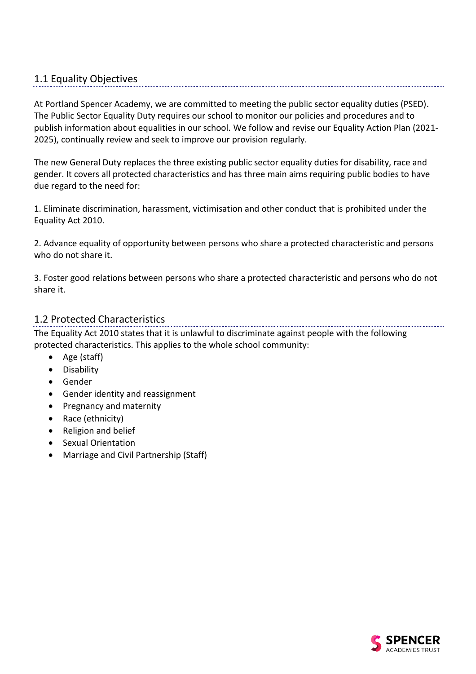## 1.1 Equality Objectives

At Portland Spencer Academy, we are committed to meeting the public sector equality duties (PSED). The Public Sector Equality Duty requires our school to monitor our policies and procedures and to publish information about equalities in our school. We follow and revise our Equality Action Plan (2021- 2025), continually review and seek to improve our provision regularly.

The new General Duty replaces the three existing public sector equality duties for disability, race and gender. It covers all protected characteristics and has three main aims requiring public bodies to have due regard to the need for:

1. Eliminate discrimination, harassment, victimisation and other conduct that is prohibited under the Equality Act 2010.

2. Advance equality of opportunity between persons who share a protected characteristic and persons who do not share it.

3. Foster good relations between persons who share a protected characteristic and persons who do not share it.

#### 1.2 Protected Characteristics

The Equality Act 2010 states that it is unlawful to discriminate against people with the following protected characteristics. This applies to the whole school community:

- Age (staff)
- Disability
- Gender
- Gender identity and reassignment
- Pregnancy and maternity
- Race (ethnicity)
- Religion and belief
- Sexual Orientation
- Marriage and Civil Partnership (Staff)

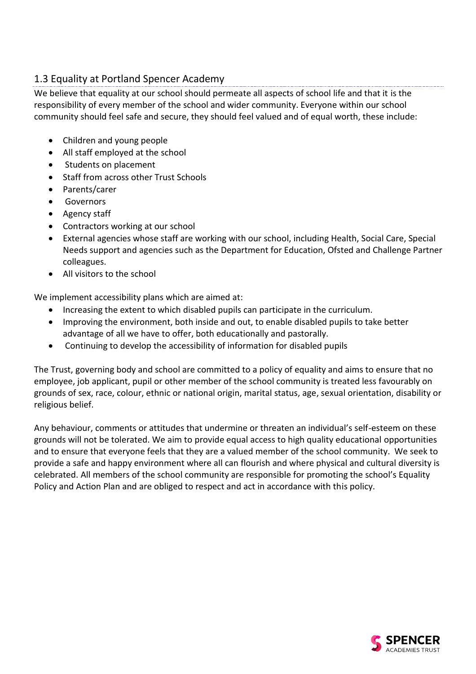# 1.3 Equality at Portland Spencer Academy

We believe that equality at our school should permeate all aspects of school life and that it is the responsibility of every member of the school and wider community. Everyone within our school community should feel safe and secure, they should feel valued and of equal worth, these include:

- Children and young people
- All staff employed at the school
- Students on placement
- Staff from across other Trust Schools
- Parents/carer
- **Governors**
- Agency staff
- Contractors working at our school
- External agencies whose staff are working with our school, including Health, Social Care, Special Needs support and agencies such as the Department for Education, Ofsted and Challenge Partner colleagues.
- All visitors to the school

We implement accessibility plans which are aimed at:

- Increasing the extent to which disabled pupils can participate in the curriculum.
- Improving the environment, both inside and out, to enable disabled pupils to take better advantage of all we have to offer, both educationally and pastorally.
- Continuing to develop the accessibility of information for disabled pupils

The Trust, governing body and school are committed to a policy of equality and aims to ensure that no employee, job applicant, pupil or other member of the school community is treated less favourably on grounds of sex, race, colour, ethnic or national origin, marital status, age, sexual orientation, disability or religious belief.

Any behaviour, comments or attitudes that undermine or threaten an individual's self-esteem on these grounds will not be tolerated. We aim to provide equal access to high quality educational opportunities and to ensure that everyone feels that they are a valued member of the school community. We seek to provide a safe and happy environment where all can flourish and where physical and cultural diversity is celebrated. All members of the school community are responsible for promoting the school's Equality Policy and Action Plan and are obliged to respect and act in accordance with this policy.

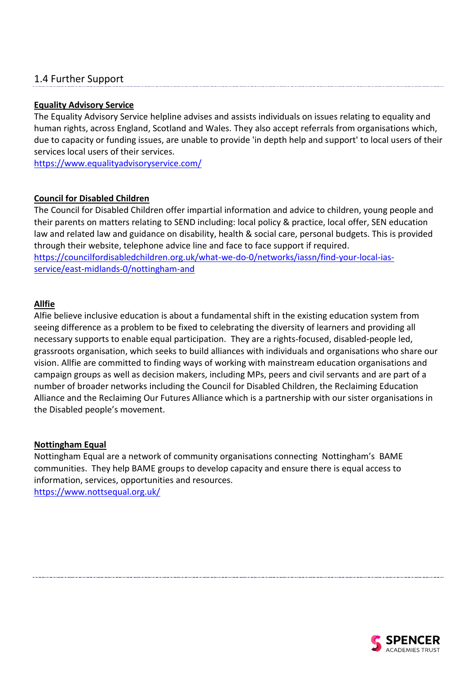### 1.4 Further Support

#### **Equality Advisory Service**

The Equality Advisory Service helpline advises and assists individuals on issues relating to equality and human rights, across England, Scotland and Wales. They also accept referrals from organisations which, due to capacity or funding issues, are unable to provide 'in depth help and support' to local users of their services local users of their services.

<https://www.equalityadvisoryservice.com/>

#### **Council for Disabled Children**

The Council for Disabled Children offer impartial information and advice to children, young people and their parents on matters relating to SEND including: local policy & practice, local offer, SEN education law and related law and guidance on disability, health & social care, personal budgets. This is provided through their website, telephone advice line and face to face support if required. [https://councilfordisabledchildren.org.uk/what-we-do-0/networks/iassn/find-your-local-ias](https://councilfordisabledchildren.org.uk/what-we-do-0/networks/iassn/find-your-local-ias-service/east-midlands-0/nottingham-and)[service/east-midlands-0/nottingham-and](https://councilfordisabledchildren.org.uk/what-we-do-0/networks/iassn/find-your-local-ias-service/east-midlands-0/nottingham-and)

#### **Allfie**

Alfie believe inclusive education is about a fundamental shift in the existing education system from seeing difference as a problem to be fixed to celebrating the diversity of learners and providing all necessary supports to enable equal participation. They are a rights-focused, disabled-people led, grassroots organisation, which seeks to build alliances with individuals and organisations who share our vision. Allfie are committed to finding ways of working with mainstream education organisations and campaign groups as well as decision makers, including MPs, peers and civil servants and are part of a number of broader networks including the Council for Disabled Children, the Reclaiming Education Alliance and the Reclaiming Our Futures Alliance which is a partnership with our sister organisations in the Disabled people's movement.

#### **Nottingham Equal**

Nottingham Equal are a network of community organisations connecting Nottingham's BAME communities. They help BAME groups to develop capacity and ensure there is equal access to information, services, opportunities and resources. <https://www.nottsequal.org.uk/>

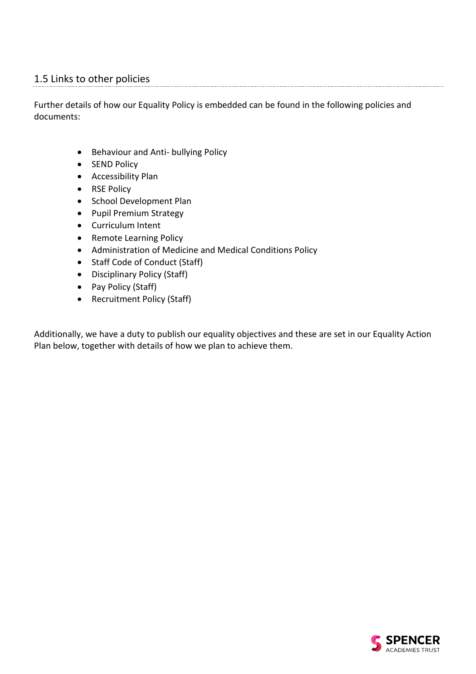### 1.5 Links to other policies

Further details of how our Equality Policy is embedded can be found in the following policies and documents:

- Behaviour and Anti- bullying Policy
- SEND Policy
- Accessibility Plan
- RSE Policy
- School Development Plan
- Pupil Premium Strategy
- Curriculum Intent
- Remote Learning Policy
- Administration of Medicine and Medical Conditions Policy
- Staff Code of Conduct (Staff)
- Disciplinary Policy (Staff)
- Pay Policy (Staff)
- Recruitment Policy (Staff)

Additionally, we have a duty to publish our equality objectives and these are set in our Equality Action Plan below, together with details of how we plan to achieve them.

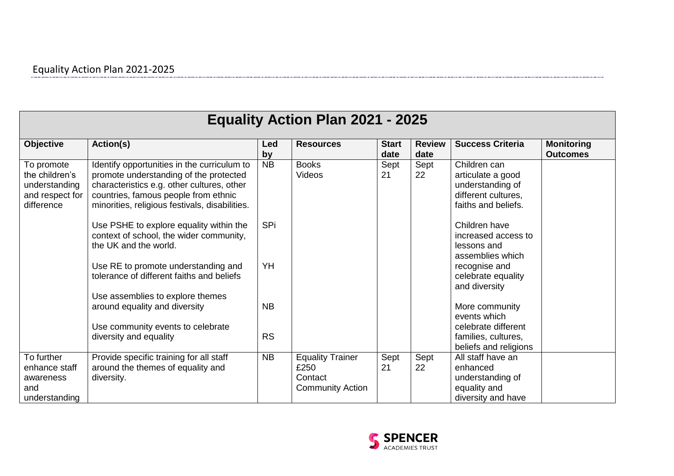| <b>Equality Action Plan 2021 - 2025</b>                                        |                                                                                                                                                                                                                               |           |                                                                       |                      |                       |                                                                                                     |                                      |  |  |
|--------------------------------------------------------------------------------|-------------------------------------------------------------------------------------------------------------------------------------------------------------------------------------------------------------------------------|-----------|-----------------------------------------------------------------------|----------------------|-----------------------|-----------------------------------------------------------------------------------------------------|--------------------------------------|--|--|
| <b>Objective</b>                                                               | Action(s)                                                                                                                                                                                                                     | Led<br>by | <b>Resources</b>                                                      | <b>Start</b><br>date | <b>Review</b><br>date | <b>Success Criteria</b>                                                                             | <b>Monitoring</b><br><b>Outcomes</b> |  |  |
| To promote<br>the children's<br>understanding<br>and respect for<br>difference | Identify opportunities in the curriculum to<br>promote understanding of the protected<br>characteristics e.g. other cultures, other<br>countries, famous people from ethnic<br>minorities, religious festivals, disabilities. | <b>NB</b> | <b>Books</b><br>Videos                                                | Sept<br>21           | Sept<br>22            | Children can<br>articulate a good<br>understanding of<br>different cultures,<br>faiths and beliefs. |                                      |  |  |
|                                                                                | Use PSHE to explore equality within the<br>context of school, the wider community,<br>the UK and the world.                                                                                                                   | SPi       |                                                                       |                      |                       | Children have<br>increased access to<br>lessons and<br>assemblies which                             |                                      |  |  |
|                                                                                | Use RE to promote understanding and<br>tolerance of different faiths and beliefs                                                                                                                                              | YH        |                                                                       |                      |                       | recognise and<br>celebrate equality<br>and diversity                                                |                                      |  |  |
|                                                                                | Use assemblies to explore themes<br>around equality and diversity<br>Use community events to celebrate                                                                                                                        | <b>NB</b> |                                                                       |                      |                       | More community<br>events which<br>celebrate different                                               |                                      |  |  |
|                                                                                | diversity and equality                                                                                                                                                                                                        | <b>RS</b> |                                                                       |                      |                       | families, cultures,<br>beliefs and religions                                                        |                                      |  |  |
| To further<br>enhance staff<br>awareness<br>and<br>understanding               | Provide specific training for all staff<br>around the themes of equality and<br>diversity.                                                                                                                                    | <b>NB</b> | <b>Equality Trainer</b><br>£250<br>Contact<br><b>Community Action</b> | Sept<br>21           | Sept<br>22            | All staff have an<br>enhanced<br>understanding of<br>equality and<br>diversity and have             |                                      |  |  |